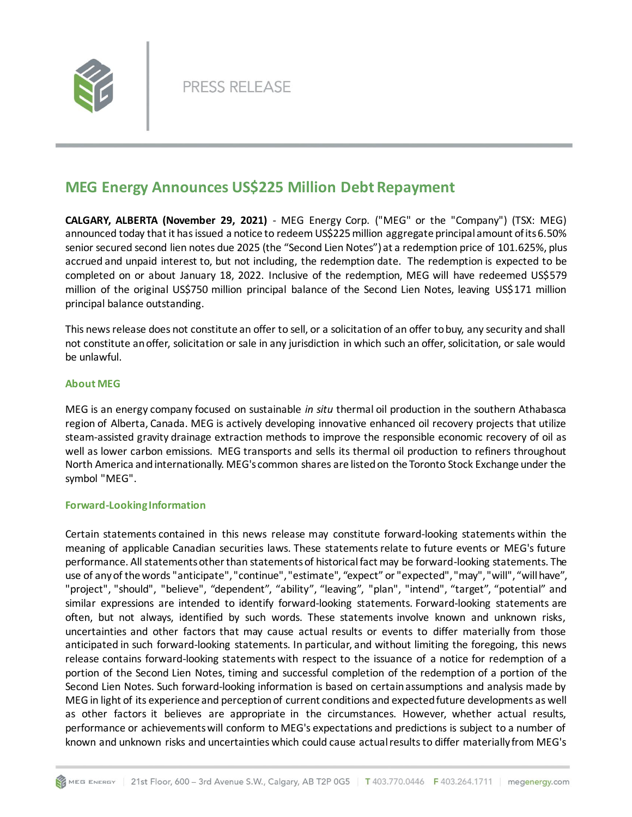

## **MEG Energy Announces US\$225 Million Debt Repayment**

**CALGARY, ALBERTA (November 29, 2021)** - MEG Energy Corp. ("MEG" or the "Company") (TSX: MEG) announced today that it has issued a notice to redeem US\$225million aggregate principal amount of its 6.50% senior secured second lien notes due 2025 (the "Second Lien Notes") at a redemption price of 101.625%, plus accrued and unpaid interest to, but not including, the redemption date. The redemption is expected to be completed on or about January 18, 2022. Inclusive of the redemption, MEG will have redeemed US\$579 million of the original US\$750 million principal balance of the Second Lien Notes, leaving US\$171 million principal balance outstanding.

This news release does not constitute an offer to sell, or a solicitation of an offer to buy, any security and shall not constitute an offer, solicitation or sale in any jurisdiction in which such an offer, solicitation, or sale would be unlawful.

## **About MEG**

MEG is an energy company focused on sustainable *in situ* thermal oil production in the southern Athabasca region of Alberta, Canada. MEG is actively developing innovative enhanced oil recovery projects that utilize steam-assisted gravity drainage extraction methods to improve the responsible economic recovery of oil as well as lower carbon emissions. MEG transports and sells its thermal oil production to refiners throughout North America and internationally. MEG's common shares are listed on the Toronto Stock Exchange under the symbol "MEG".

## **Forward-Looking Information**

Certain statements contained in this news release may constitute forward-looking statements within the meaning of applicable Canadian securities laws. These statements relate to future events or MEG's future performance. All statements other than statements of historical fact may be forward-looking statements. The use of any of the words "anticipate", "continue", "estimate", "expect" or "expected", "may", "will", "will have", "project", "should", "believe", "dependent", "ability", "leaving", "plan", "intend", "target", "potential" and similar expressions are intended to identify forward-looking statements. Forward-looking statements are often, but not always, identified by such words. These statements involve known and unknown risks, uncertainties and other factors that may cause actual results or events to differ materially from those anticipated in such forward-looking statements. In particular, and without limiting the foregoing, this news release contains forward-looking statements with respect to the issuance of a notice for redemption of a portion of the Second Lien Notes, timing and successful completion of the redemption of a portion of the Second Lien Notes. Such forward-looking information is based on certain assumptions and analysis made by MEG in light of its experience and perception of current conditions and expected future developments as well as other factors it believes are appropriate in the circumstances. However, whether actual results, performance or achievements will conform to MEG's expectations and predictions is subject to a number of known and unknown risks and uncertainties which could cause actual results to differ materially from MEG's